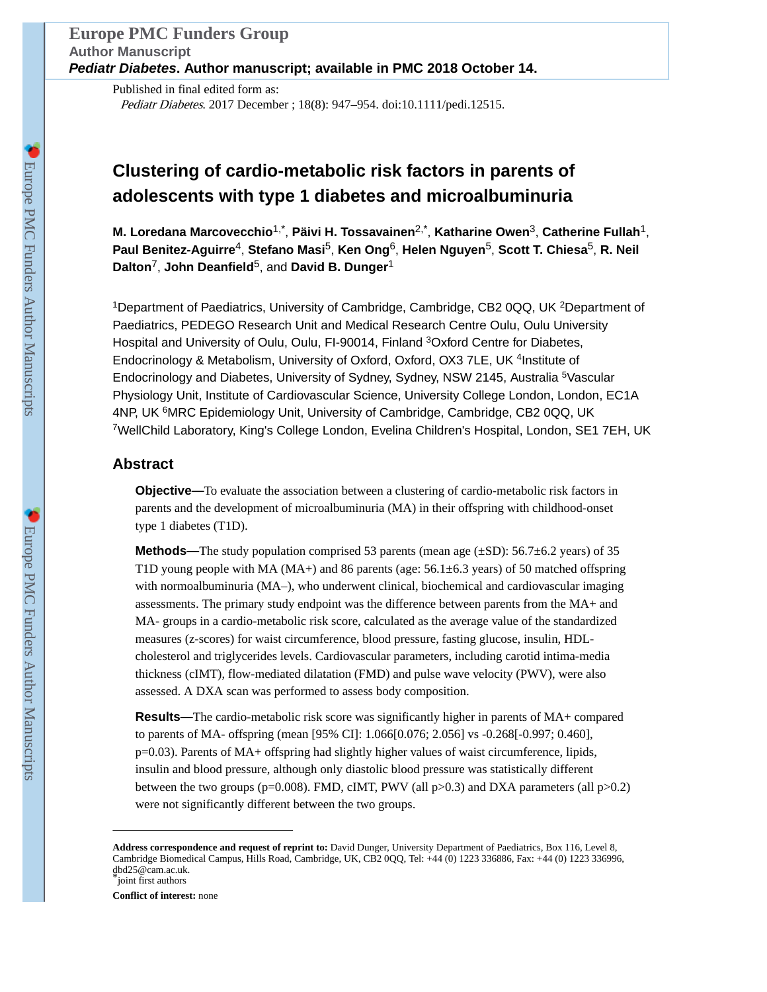Published in final edited form as: Pediatr Diabetes. 2017 December ; 18(8): 947–954. doi:10.1111/pedi.12515.

# **Clustering of cardio-metabolic risk factors in parents of adolescents with type 1 diabetes and microalbuminuria**

**M. Loredana Marcovecchio**1,\* , **Päivi H. Tossavainen**2,\* , **Katharine Owen**3, **Catherine Fullah**1, **Paul Benitez-Aguirre**4, **Stefano Masi**5, **Ken Ong**6, **Helen Nguyen**5, **Scott T. Chiesa**5, **R. Neil Dalton**7, **John Deanfield**5, and **David B. Dunger**<sup>1</sup>

<sup>1</sup>Department of Paediatrics, University of Cambridge, Cambridge, CB2 0QQ, UK <sup>2</sup>Department of Paediatrics, PEDEGO Research Unit and Medical Research Centre Oulu, Oulu University Hospital and University of Oulu, Oulu, FI-90014, Finland <sup>3</sup>Oxford Centre for Diabetes, Endocrinology & Metabolism, University of Oxford, Oxford, OX3 7LE, UK<sup>4</sup>Institute of Endocrinology and Diabetes, University of Sydney, Sydney, NSW 2145, Australia <sup>5</sup>Vascular Physiology Unit, Institute of Cardiovascular Science, University College London, London, EC1A 4NP, UK <sup>6</sup>MRC Epidemiology Unit, University of Cambridge, Cambridge, CB2 0QQ, UK <sup>7</sup>WellChild Laboratory, King's College London, Evelina Children's Hospital, London, SE1 7EH, UK

# **Abstract**

**Objective—**To evaluate the association between a clustering of cardio-metabolic risk factors in parents and the development of microalbuminuria (MA) in their offspring with childhood-onset type 1 diabetes (T1D).

**Methods—**The study population comprised 53 parents (mean age ( $\pm$ SD): 56.7 $\pm$ 6.2 years) of 35 T1D young people with MA (MA+) and 86 parents (age:  $56.1\pm6.3$  years) of 50 matched offspring with normoalbuminuria (MA–), who underwent clinical, biochemical and cardiovascular imaging assessments. The primary study endpoint was the difference between parents from the MA+ and MA- groups in a cardio-metabolic risk score, calculated as the average value of the standardized measures (z-scores) for waist circumference, blood pressure, fasting glucose, insulin, HDLcholesterol and triglycerides levels. Cardiovascular parameters, including carotid intima-media thickness (cIMT), flow-mediated dilatation (FMD) and pulse wave velocity (PWV), were also assessed. A DXA scan was performed to assess body composition.

**Results—**The cardio-metabolic risk score was significantly higher in parents of MA+ compared to parents of MA- offspring (mean [95% CI]: 1.066[0.076; 2.056] vs -0.268[-0.997; 0.460], p=0.03). Parents of MA+ offspring had slightly higher values of waist circumference, lipids, insulin and blood pressure, although only diastolic blood pressure was statistically different between the two groups ( $p=0.008$ ). FMD, cIMT, PWV (all  $p>0.3$ ) and DXA parameters (all  $p>0.2$ ) were not significantly different between the two groups.

**Conflict of interest:** none

**Address correspondence and request of reprint to:** David Dunger, University Department of Paediatrics, Box 116, Level 8, Cambridge Biomedical Campus, Hills Road, Cambridge, UK, CB2 0QQ, Tel: +44 (0) 1223 336886, Fax: +44 (0) 1223 336996, dbd25@cam.ac.uk. ioint first authors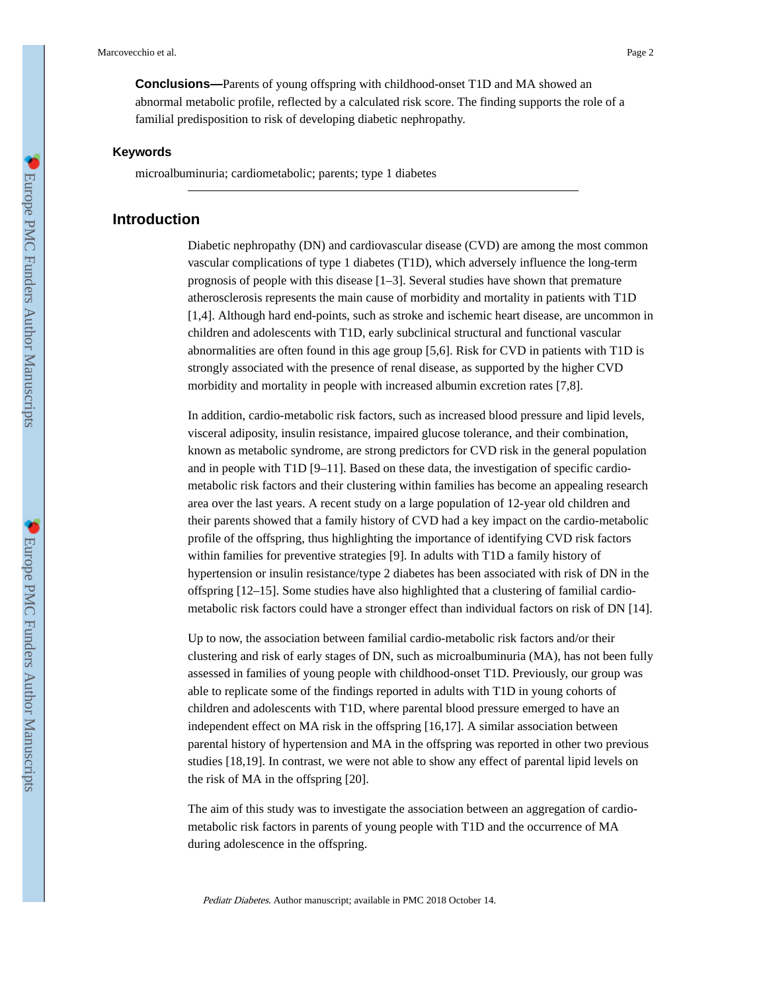**Conclusions—**Parents of young offspring with childhood-onset T1D and MA showed an abnormal metabolic profile, reflected by a calculated risk score. The finding supports the role of a familial predisposition to risk of developing diabetic nephropathy.

### **Keywords**

microalbuminuria; cardiometabolic; parents; type 1 diabetes

### **Introduction**

Diabetic nephropathy (DN) and cardiovascular disease (CVD) are among the most common vascular complications of type 1 diabetes (T1D), which adversely influence the long-term prognosis of people with this disease  $[1–3]$ . Several studies have shown that premature atherosclerosis represents the main cause of morbidity and mortality in patients with T1D [1,4]. Although hard end-points, such as stroke and ischemic heart disease, are uncommon in children and adolescents with T1D, early subclinical structural and functional vascular abnormalities are often found in this age group [5,6]. Risk for CVD in patients with T1D is strongly associated with the presence of renal disease, as supported by the higher CVD morbidity and mortality in people with increased albumin excretion rates [7,8].

In addition, cardio-metabolic risk factors, such as increased blood pressure and lipid levels, visceral adiposity, insulin resistance, impaired glucose tolerance, and their combination, known as metabolic syndrome, are strong predictors for CVD risk in the general population and in people with T1D [9–11]. Based on these data, the investigation of specific cardiometabolic risk factors and their clustering within families has become an appealing research area over the last years. A recent study on a large population of 12-year old children and their parents showed that a family history of CVD had a key impact on the cardio-metabolic profile of the offspring, thus highlighting the importance of identifying CVD risk factors within families for preventive strategies [9]. In adults with T1D a family history of hypertension or insulin resistance/type 2 diabetes has been associated with risk of DN in the offspring [12–15]. Some studies have also highlighted that a clustering of familial cardiometabolic risk factors could have a stronger effect than individual factors on risk of DN [14].

Up to now, the association between familial cardio-metabolic risk factors and/or their clustering and risk of early stages of DN, such as microalbuminuria (MA), has not been fully assessed in families of young people with childhood-onset T1D. Previously, our group was able to replicate some of the findings reported in adults with T1D in young cohorts of children and adolescents with T1D, where parental blood pressure emerged to have an independent effect on MA risk in the offspring [16,17]. A similar association between parental history of hypertension and MA in the offspring was reported in other two previous studies [18,19]. In contrast, we were not able to show any effect of parental lipid levels on the risk of MA in the offspring [20].

The aim of this study was to investigate the association between an aggregation of cardiometabolic risk factors in parents of young people with T1D and the occurrence of MA during adolescence in the offspring.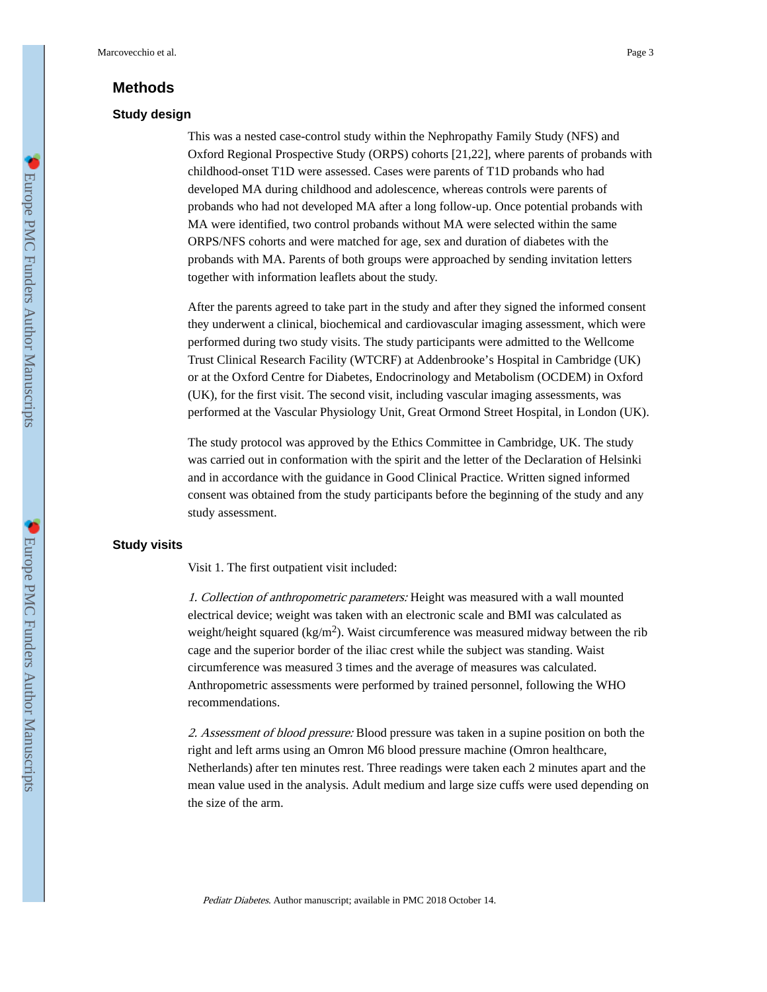## **Methods**

### **Study design**

This was a nested case-control study within the Nephropathy Family Study (NFS) and Oxford Regional Prospective Study (ORPS) cohorts [21,22], where parents of probands with childhood-onset T1D were assessed. Cases were parents of T1D probands who had developed MA during childhood and adolescence, whereas controls were parents of probands who had not developed MA after a long follow-up. Once potential probands with MA were identified, two control probands without MA were selected within the same ORPS/NFS cohorts and were matched for age, sex and duration of diabetes with the probands with MA. Parents of both groups were approached by sending invitation letters together with information leaflets about the study.

After the parents agreed to take part in the study and after they signed the informed consent they underwent a clinical, biochemical and cardiovascular imaging assessment, which were performed during two study visits. The study participants were admitted to the Wellcome Trust Clinical Research Facility (WTCRF) at Addenbrooke's Hospital in Cambridge (UK) or at the Oxford Centre for Diabetes, Endocrinology and Metabolism (OCDEM) in Oxford (UK), for the first visit. The second visit, including vascular imaging assessments, was performed at the Vascular Physiology Unit, Great Ormond Street Hospital, in London (UK).

The study protocol was approved by the Ethics Committee in Cambridge, UK. The study was carried out in conformation with the spirit and the letter of the Declaration of Helsinki and in accordance with the guidance in Good Clinical Practice. Written signed informed consent was obtained from the study participants before the beginning of the study and any study assessment.

### **Study visits**

Visit 1. The first outpatient visit included:

1. Collection of anthropometric parameters: Height was measured with a wall mounted electrical device; weight was taken with an electronic scale and BMI was calculated as weight/height squared (kg/m<sup>2</sup>). Waist circumference was measured midway between the rib cage and the superior border of the iliac crest while the subject was standing. Waist circumference was measured 3 times and the average of measures was calculated. Anthropometric assessments were performed by trained personnel, following the WHO recommendations.

2. Assessment of blood pressure: Blood pressure was taken in a supine position on both the right and left arms using an Omron M6 blood pressure machine (Omron healthcare, Netherlands) after ten minutes rest. Three readings were taken each 2 minutes apart and the mean value used in the analysis. Adult medium and large size cuffs were used depending on the size of the arm.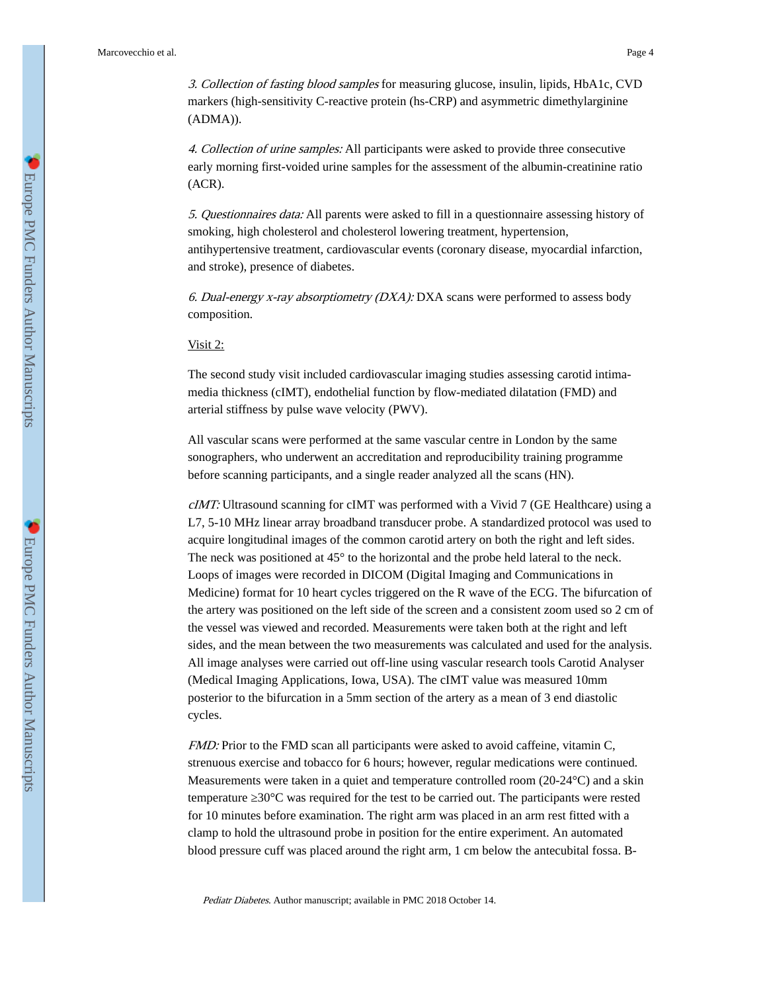3. Collection of fasting blood samples for measuring glucose, insulin, lipids, HbA1c, CVD markers (high-sensitivity C-reactive protein (hs-CRP) and asymmetric dimethylarginine (ADMA)).

4. Collection of urine samples: All participants were asked to provide three consecutive early morning first-voided urine samples for the assessment of the albumin-creatinine ratio (ACR).

5. Questionnaires data: All parents were asked to fill in a questionnaire assessing history of smoking, high cholesterol and cholesterol lowering treatment, hypertension, antihypertensive treatment, cardiovascular events (coronary disease, myocardial infarction, and stroke), presence of diabetes.

6. Dual-energy x-ray absorptiometry  $(DXA)$ : DXA scans were performed to assess body composition.

Visit 2:

The second study visit included cardiovascular imaging studies assessing carotid intimamedia thickness (cIMT), endothelial function by flow-mediated dilatation (FMD) and arterial stiffness by pulse wave velocity (PWV).

All vascular scans were performed at the same vascular centre in London by the same sonographers, who underwent an accreditation and reproducibility training programme before scanning participants, and a single reader analyzed all the scans (HN).

cIMT: Ultrasound scanning for cIMT was performed with a Vivid 7 (GE Healthcare) using a L7, 5-10 MHz linear array broadband transducer probe. A standardized protocol was used to acquire longitudinal images of the common carotid artery on both the right and left sides. The neck was positioned at 45° to the horizontal and the probe held lateral to the neck. Loops of images were recorded in DICOM (Digital Imaging and Communications in Medicine) format for 10 heart cycles triggered on the R wave of the ECG. The bifurcation of the artery was positioned on the left side of the screen and a consistent zoom used so 2 cm of the vessel was viewed and recorded. Measurements were taken both at the right and left sides, and the mean between the two measurements was calculated and used for the analysis. All image analyses were carried out off-line using vascular research tools Carotid Analyser (Medical Imaging Applications, Iowa, USA). The cIMT value was measured 10mm posterior to the bifurcation in a 5mm section of the artery as a mean of 3 end diastolic cycles.

FMD: Prior to the FMD scan all participants were asked to avoid caffeine, vitamin C, strenuous exercise and tobacco for 6 hours; however, regular medications were continued. Measurements were taken in a quiet and temperature controlled room  $(20-24\degree C)$  and a skin temperature 30°C was required for the test to be carried out. The participants were rested for 10 minutes before examination. The right arm was placed in an arm rest fitted with a clamp to hold the ultrasound probe in position for the entire experiment. An automated blood pressure cuff was placed around the right arm, 1 cm below the antecubital fossa. B-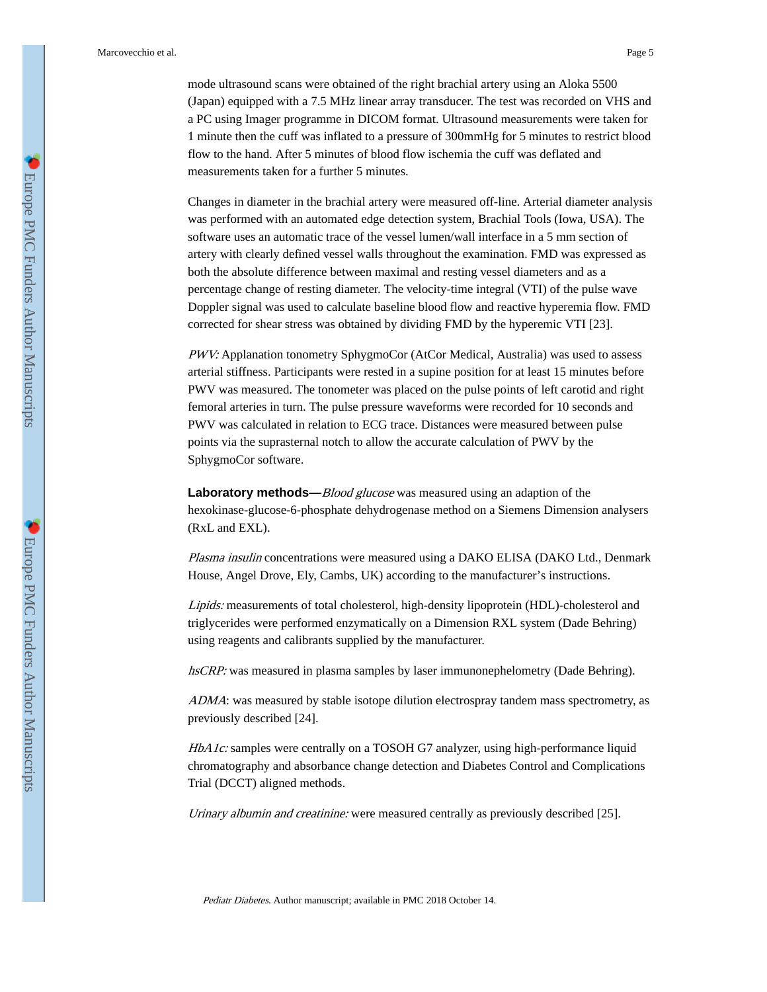mode ultrasound scans were obtained of the right brachial artery using an Aloka 5500 (Japan) equipped with a 7.5 MHz linear array transducer. The test was recorded on VHS and a PC using Imager programme in DICOM format. Ultrasound measurements were taken for 1 minute then the cuff was inflated to a pressure of 300mmHg for 5 minutes to restrict blood flow to the hand. After 5 minutes of blood flow ischemia the cuff was deflated and measurements taken for a further 5 minutes.

Changes in diameter in the brachial artery were measured off-line. Arterial diameter analysis was performed with an automated edge detection system, Brachial Tools (Iowa, USA). The software uses an automatic trace of the vessel lumen/wall interface in a 5 mm section of artery with clearly defined vessel walls throughout the examination. FMD was expressed as both the absolute difference between maximal and resting vessel diameters and as a percentage change of resting diameter. The velocity-time integral (VTI) of the pulse wave Doppler signal was used to calculate baseline blood flow and reactive hyperemia flow. FMD corrected for shear stress was obtained by dividing FMD by the hyperemic VTI [23].

PWV: Applanation tonometry SphygmoCor (AtCor Medical, Australia) was used to assess arterial stiffness. Participants were rested in a supine position for at least 15 minutes before PWV was measured. The tonometer was placed on the pulse points of left carotid and right femoral arteries in turn. The pulse pressure waveforms were recorded for 10 seconds and PWV was calculated in relation to ECG trace. Distances were measured between pulse points via the suprasternal notch to allow the accurate calculation of PWV by the SphygmoCor software.

**Laboratory methods—**Blood glucose was measured using an adaption of the hexokinase-glucose-6-phosphate dehydrogenase method on a Siemens Dimension analysers (RxL and EXL).

Plasma insulin concentrations were measured using a DAKO ELISA (DAKO Ltd., Denmark House, Angel Drove, Ely, Cambs, UK) according to the manufacturer's instructions.

Lipids: measurements of total cholesterol, high-density lipoprotein (HDL)-cholesterol and triglycerides were performed enzymatically on a Dimension RXL system (Dade Behring) using reagents and calibrants supplied by the manufacturer.

hsCRP: was measured in plasma samples by laser immunonephelometry (Dade Behring).

ADMA: was measured by stable isotope dilution electrospray tandem mass spectrometry, as previously described [24].

HbA1c: samples were centrally on a TOSOH G7 analyzer, using high-performance liquid chromatography and absorbance change detection and Diabetes Control and Complications Trial (DCCT) aligned methods.

Urinary albumin and creatinine: were measured centrally as previously described [25].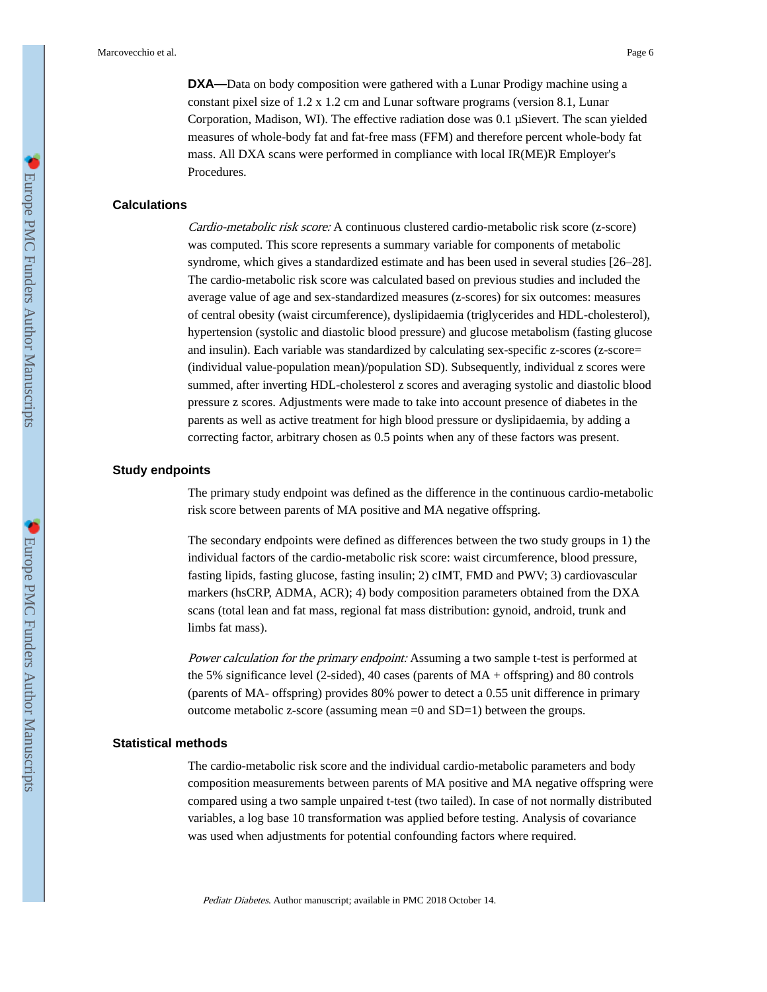Marcovecchio et al. Page 6

**DXA—**Data on body composition were gathered with a Lunar Prodigy machine using a constant pixel size of 1.2 x 1.2 cm and Lunar software programs (version 8.1, Lunar Corporation, Madison, WI). The effective radiation dose was 0.1 μSievert. The scan yielded measures of whole-body fat and fat-free mass (FFM) and therefore percent whole-body fat mass. All DXA scans were performed in compliance with local IR(ME)R Employer's Procedures.

### **Calculations**

Cardio-metabolic risk score: A continuous clustered cardio-metabolic risk score (z-score) was computed. This score represents a summary variable for components of metabolic syndrome, which gives a standardized estimate and has been used in several studies [26–28]. The cardio-metabolic risk score was calculated based on previous studies and included the average value of age and sex-standardized measures (z-scores) for six outcomes: measures of central obesity (waist circumference), dyslipidaemia (triglycerides and HDL-cholesterol), hypertension (systolic and diastolic blood pressure) and glucose metabolism (fasting glucose and insulin). Each variable was standardized by calculating sex-specific z-scores (z-score= (individual value-population mean)/population SD). Subsequently, individual z scores were summed, after inverting HDL-cholesterol z scores and averaging systolic and diastolic blood pressure z scores. Adjustments were made to take into account presence of diabetes in the parents as well as active treatment for high blood pressure or dyslipidaemia, by adding a correcting factor, arbitrary chosen as 0.5 points when any of these factors was present.

### **Study endpoints**

The primary study endpoint was defined as the difference in the continuous cardio-metabolic risk score between parents of MA positive and MA negative offspring.

The secondary endpoints were defined as differences between the two study groups in 1) the individual factors of the cardio-metabolic risk score: waist circumference, blood pressure, fasting lipids, fasting glucose, fasting insulin; 2) cIMT, FMD and PWV; 3) cardiovascular markers (hsCRP, ADMA, ACR); 4) body composition parameters obtained from the DXA scans (total lean and fat mass, regional fat mass distribution: gynoid, android, trunk and limbs fat mass).

Power calculation for the primary endpoint: Assuming a two sample t-test is performed at the 5% significance level (2-sided), 40 cases (parents of MA + offspring) and 80 controls (parents of MA- offspring) provides 80% power to detect a 0.55 unit difference in primary outcome metabolic z-score (assuming mean  $=0$  and  $SD=1$ ) between the groups.

#### **Statistical methods**

The cardio-metabolic risk score and the individual cardio-metabolic parameters and body composition measurements between parents of MA positive and MA negative offspring were compared using a two sample unpaired t-test (two tailed). In case of not normally distributed variables, a log base 10 transformation was applied before testing. Analysis of covariance was used when adjustments for potential confounding factors where required.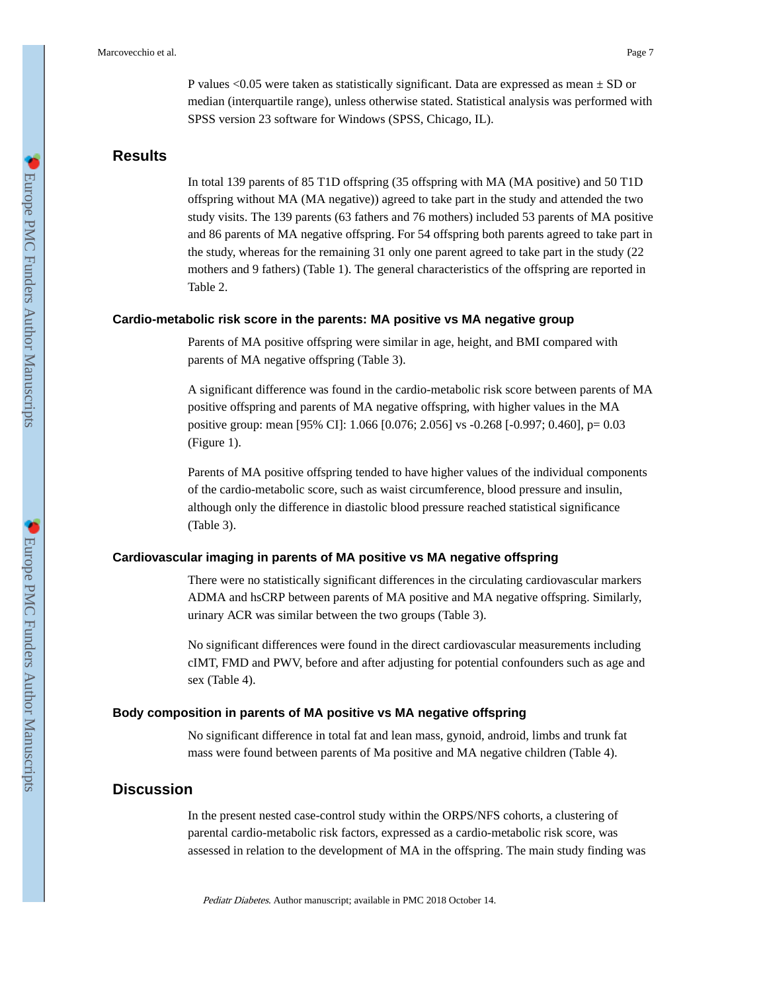P values <0.05 were taken as statistically significant. Data are expressed as mean  $\pm$  SD or median (interquartile range), unless otherwise stated. Statistical analysis was performed with SPSS version 23 software for Windows (SPSS, Chicago, IL).

### **Results**

In total 139 parents of 85 T1D offspring (35 offspring with MA (MA positive) and 50 T1D offspring without MA (MA negative)) agreed to take part in the study and attended the two study visits. The 139 parents (63 fathers and 76 mothers) included 53 parents of MA positive and 86 parents of MA negative offspring. For 54 offspring both parents agreed to take part in the study, whereas for the remaining 31 only one parent agreed to take part in the study (22 mothers and 9 fathers) (Table 1). The general characteristics of the offspring are reported in Table 2.

#### **Cardio-metabolic risk score in the parents: MA positive vs MA negative group**

Parents of MA positive offspring were similar in age, height, and BMI compared with parents of MA negative offspring (Table 3).

A significant difference was found in the cardio-metabolic risk score between parents of MA positive offspring and parents of MA negative offspring, with higher values in the MA positive group: mean [95% CI]: 1.066 [0.076; 2.056] vs -0.268 [-0.997; 0.460], p= 0.03 (Figure 1).

Parents of MA positive offspring tended to have higher values of the individual components of the cardio-metabolic score, such as waist circumference, blood pressure and insulin, although only the difference in diastolic blood pressure reached statistical significance (Table 3).

### **Cardiovascular imaging in parents of MA positive vs MA negative offspring**

There were no statistically significant differences in the circulating cardiovascular markers ADMA and hsCRP between parents of MA positive and MA negative offspring. Similarly, urinary ACR was similar between the two groups (Table 3).

No significant differences were found in the direct cardiovascular measurements including cIMT, FMD and PWV, before and after adjusting for potential confounders such as age and sex (Table 4).

#### **Body composition in parents of MA positive vs MA negative offspring**

No significant difference in total fat and lean mass, gynoid, android, limbs and trunk fat mass were found between parents of Ma positive and MA negative children (Table 4).

## **Discussion**

In the present nested case-control study within the ORPS/NFS cohorts, a clustering of parental cardio-metabolic risk factors, expressed as a cardio-metabolic risk score, was assessed in relation to the development of MA in the offspring. The main study finding was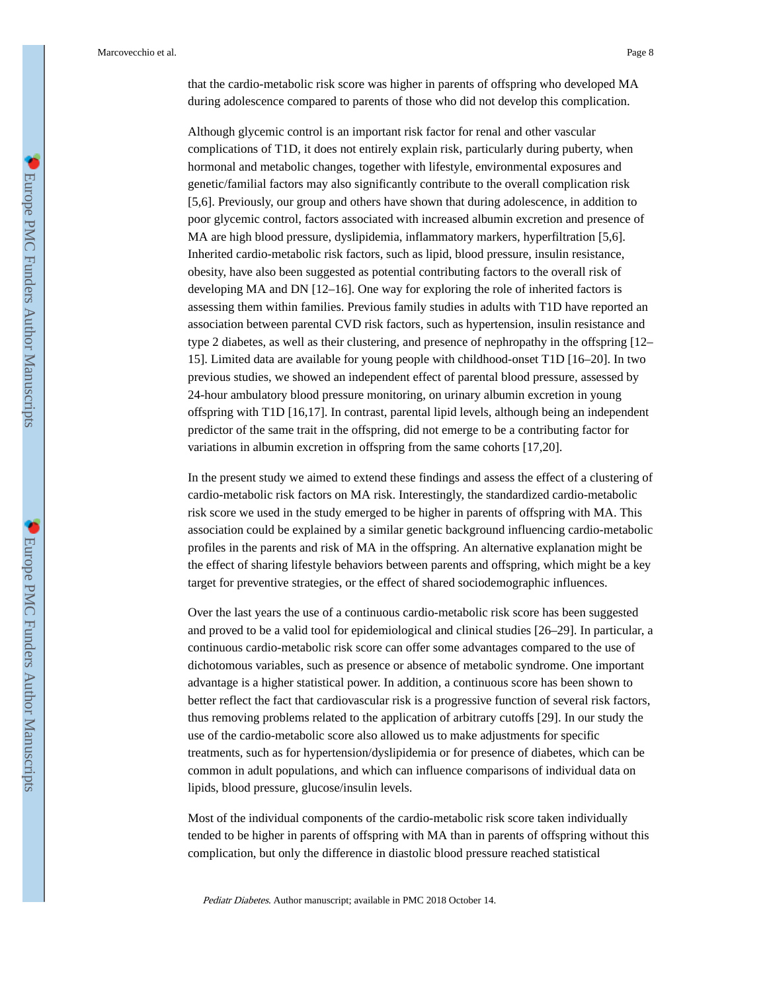Although glycemic control is an important risk factor for renal and other vascular complications of T1D, it does not entirely explain risk, particularly during puberty, when hormonal and metabolic changes, together with lifestyle, environmental exposures and genetic/familial factors may also significantly contribute to the overall complication risk [5,6]. Previously, our group and others have shown that during adolescence, in addition to poor glycemic control, factors associated with increased albumin excretion and presence of MA are high blood pressure, dyslipidemia, inflammatory markers, hyperfiltration [5,6]. Inherited cardio-metabolic risk factors, such as lipid, blood pressure, insulin resistance, obesity, have also been suggested as potential contributing factors to the overall risk of developing MA and DN [12–16]. One way for exploring the role of inherited factors is assessing them within families. Previous family studies in adults with T1D have reported an association between parental CVD risk factors, such as hypertension, insulin resistance and type 2 diabetes, as well as their clustering, and presence of nephropathy in the offspring [12– 15]. Limited data are available for young people with childhood-onset T1D [16–20]. In two previous studies, we showed an independent effect of parental blood pressure, assessed by 24-hour ambulatory blood pressure monitoring, on urinary albumin excretion in young offspring with T1D [16,17]. In contrast, parental lipid levels, although being an independent predictor of the same trait in the offspring, did not emerge to be a contributing factor for variations in albumin excretion in offspring from the same cohorts [17,20].

In the present study we aimed to extend these findings and assess the effect of a clustering of cardio-metabolic risk factors on MA risk. Interestingly, the standardized cardio-metabolic risk score we used in the study emerged to be higher in parents of offspring with MA. This association could be explained by a similar genetic background influencing cardio-metabolic profiles in the parents and risk of MA in the offspring. An alternative explanation might be the effect of sharing lifestyle behaviors between parents and offspring, which might be a key target for preventive strategies, or the effect of shared sociodemographic influences.

Over the last years the use of a continuous cardio-metabolic risk score has been suggested and proved to be a valid tool for epidemiological and clinical studies [26–29]. In particular, a continuous cardio-metabolic risk score can offer some advantages compared to the use of dichotomous variables, such as presence or absence of metabolic syndrome. One important advantage is a higher statistical power. In addition, a continuous score has been shown to better reflect the fact that cardiovascular risk is a progressive function of several risk factors, thus removing problems related to the application of arbitrary cutoffs [29]. In our study the use of the cardio-metabolic score also allowed us to make adjustments for specific treatments, such as for hypertension/dyslipidemia or for presence of diabetes, which can be common in adult populations, and which can influence comparisons of individual data on lipids, blood pressure, glucose/insulin levels.

Most of the individual components of the cardio-metabolic risk score taken individually tended to be higher in parents of offspring with MA than in parents of offspring without this complication, but only the difference in diastolic blood pressure reached statistical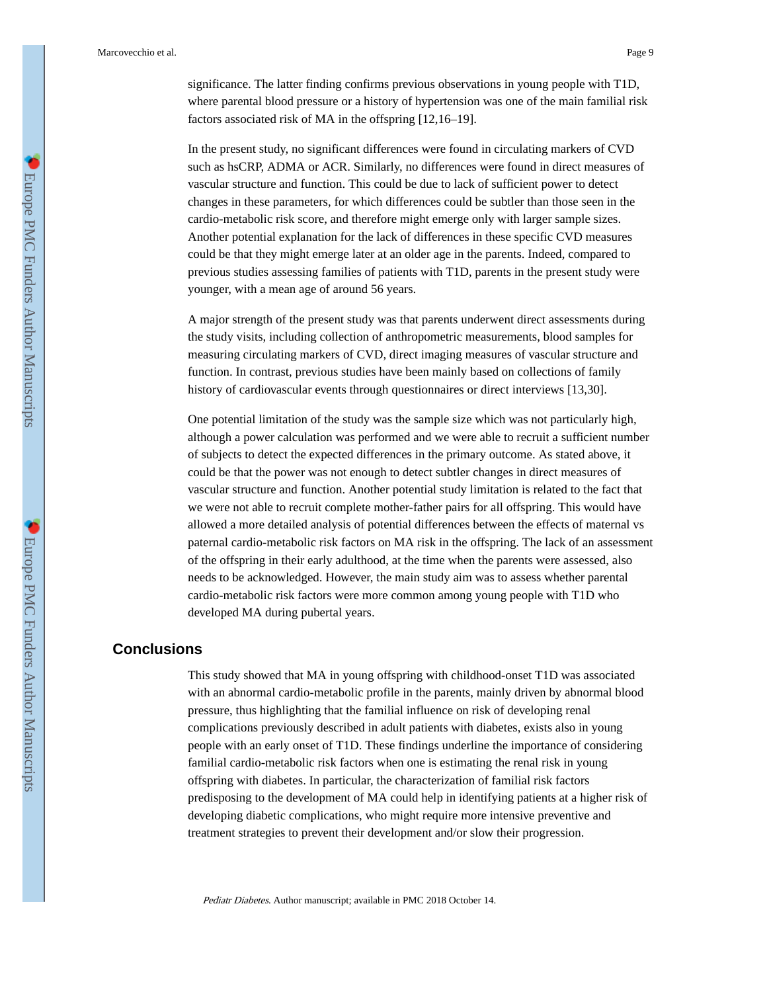significance. The latter finding confirms previous observations in young people with T1D, where parental blood pressure or a history of hypertension was one of the main familial risk factors associated risk of MA in the offspring [12,16–19].

In the present study, no significant differences were found in circulating markers of CVD such as hsCRP, ADMA or ACR. Similarly, no differences were found in direct measures of vascular structure and function. This could be due to lack of sufficient power to detect changes in these parameters, for which differences could be subtler than those seen in the cardio-metabolic risk score, and therefore might emerge only with larger sample sizes. Another potential explanation for the lack of differences in these specific CVD measures could be that they might emerge later at an older age in the parents. Indeed, compared to previous studies assessing families of patients with T1D, parents in the present study were younger, with a mean age of around 56 years.

A major strength of the present study was that parents underwent direct assessments during the study visits, including collection of anthropometric measurements, blood samples for measuring circulating markers of CVD, direct imaging measures of vascular structure and function. In contrast, previous studies have been mainly based on collections of family history of cardiovascular events through questionnaires or direct interviews [13,30].

One potential limitation of the study was the sample size which was not particularly high, although a power calculation was performed and we were able to recruit a sufficient number of subjects to detect the expected differences in the primary outcome. As stated above, it could be that the power was not enough to detect subtler changes in direct measures of vascular structure and function. Another potential study limitation is related to the fact that we were not able to recruit complete mother-father pairs for all offspring. This would have allowed a more detailed analysis of potential differences between the effects of maternal vs paternal cardio-metabolic risk factors on MA risk in the offspring. The lack of an assessment of the offspring in their early adulthood, at the time when the parents were assessed, also needs to be acknowledged. However, the main study aim was to assess whether parental cardio-metabolic risk factors were more common among young people with T1D who developed MA during pubertal years.

## **Conclusions**

This study showed that MA in young offspring with childhood-onset T1D was associated with an abnormal cardio-metabolic profile in the parents, mainly driven by abnormal blood pressure, thus highlighting that the familial influence on risk of developing renal complications previously described in adult patients with diabetes, exists also in young people with an early onset of T1D. These findings underline the importance of considering familial cardio-metabolic risk factors when one is estimating the renal risk in young offspring with diabetes. In particular, the characterization of familial risk factors predisposing to the development of MA could help in identifying patients at a higher risk of developing diabetic complications, who might require more intensive preventive and treatment strategies to prevent their development and/or slow their progression.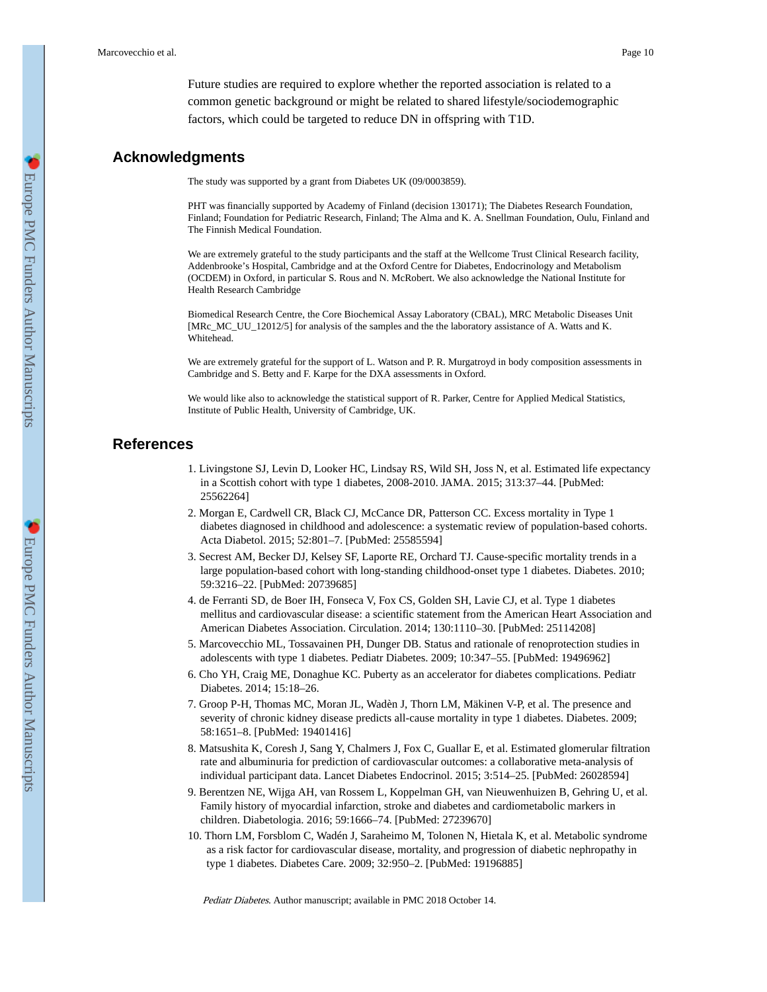Future studies are required to explore whether the reported association is related to a common genetic background or might be related to shared lifestyle/sociodemographic factors, which could be targeted to reduce DN in offspring with T1D.

### **Acknowledgments**

The study was supported by a grant from Diabetes UK (09/0003859).

PHT was financially supported by Academy of Finland (decision 130171); The Diabetes Research Foundation, Finland; Foundation for Pediatric Research, Finland; The Alma and K. A. Snellman Foundation, Oulu, Finland and The Finnish Medical Foundation.

We are extremely grateful to the study participants and the staff at the Wellcome Trust Clinical Research facility, Addenbrooke's Hospital, Cambridge and at the Oxford Centre for Diabetes, Endocrinology and Metabolism (OCDEM) in Oxford, in particular S. Rous and N. McRobert. We also acknowledge the National Institute for Health Research Cambridge

Biomedical Research Centre, the Core Biochemical Assay Laboratory (CBAL), MRC Metabolic Diseases Unit [MRc\_MC\_UU\_12012/5] for analysis of the samples and the the laboratory assistance of A. Watts and K. Whitehead.

We are extremely grateful for the support of L. Watson and P. R. Murgatroyd in body composition assessments in Cambridge and S. Betty and F. Karpe for the DXA assessments in Oxford.

We would like also to acknowledge the statistical support of R. Parker, Centre for Applied Medical Statistics, Institute of Public Health, University of Cambridge, UK.

### **References**

- 1. Livingstone SJ, Levin D, Looker HC, Lindsay RS, Wild SH, Joss N, et al. Estimated life expectancy in a Scottish cohort with type 1 diabetes, 2008-2010. JAMA. 2015; 313:37–44. [PubMed: 25562264]
- 2. Morgan E, Cardwell CR, Black CJ, McCance DR, Patterson CC. Excess mortality in Type 1 diabetes diagnosed in childhood and adolescence: a systematic review of population-based cohorts. Acta Diabetol. 2015; 52:801–7. [PubMed: 25585594]
- 3. Secrest AM, Becker DJ, Kelsey SF, Laporte RE, Orchard TJ. Cause-specific mortality trends in a large population-based cohort with long-standing childhood-onset type 1 diabetes. Diabetes. 2010; 59:3216–22. [PubMed: 20739685]
- 4. de Ferranti SD, de Boer IH, Fonseca V, Fox CS, Golden SH, Lavie CJ, et al. Type 1 diabetes mellitus and cardiovascular disease: a scientific statement from the American Heart Association and American Diabetes Association. Circulation. 2014; 130:1110–30. [PubMed: 25114208]
- 5. Marcovecchio ML, Tossavainen PH, Dunger DB. Status and rationale of renoprotection studies in adolescents with type 1 diabetes. Pediatr Diabetes. 2009; 10:347–55. [PubMed: 19496962]
- 6. Cho YH, Craig ME, Donaghue KC. Puberty as an accelerator for diabetes complications. Pediatr Diabetes. 2014; 15:18–26.
- 7. Groop P-H, Thomas MC, Moran JL, Wadèn J, Thorn LM, Mäkinen V-P, et al. The presence and severity of chronic kidney disease predicts all-cause mortality in type 1 diabetes. Diabetes. 2009; 58:1651–8. [PubMed: 19401416]
- 8. Matsushita K, Coresh J, Sang Y, Chalmers J, Fox C, Guallar E, et al. Estimated glomerular filtration rate and albuminuria for prediction of cardiovascular outcomes: a collaborative meta-analysis of individual participant data. Lancet Diabetes Endocrinol. 2015; 3:514–25. [PubMed: 26028594]
- 9. Berentzen NE, Wijga AH, van Rossem L, Koppelman GH, van Nieuwenhuizen B, Gehring U, et al. Family history of myocardial infarction, stroke and diabetes and cardiometabolic markers in children. Diabetologia. 2016; 59:1666–74. [PubMed: 27239670]
- 10. Thorn LM, Forsblom C, Wadén J, Saraheimo M, Tolonen N, Hietala K, et al. Metabolic syndrome as a risk factor for cardiovascular disease, mortality, and progression of diabetic nephropathy in type 1 diabetes. Diabetes Care. 2009; 32:950–2. [PubMed: 19196885]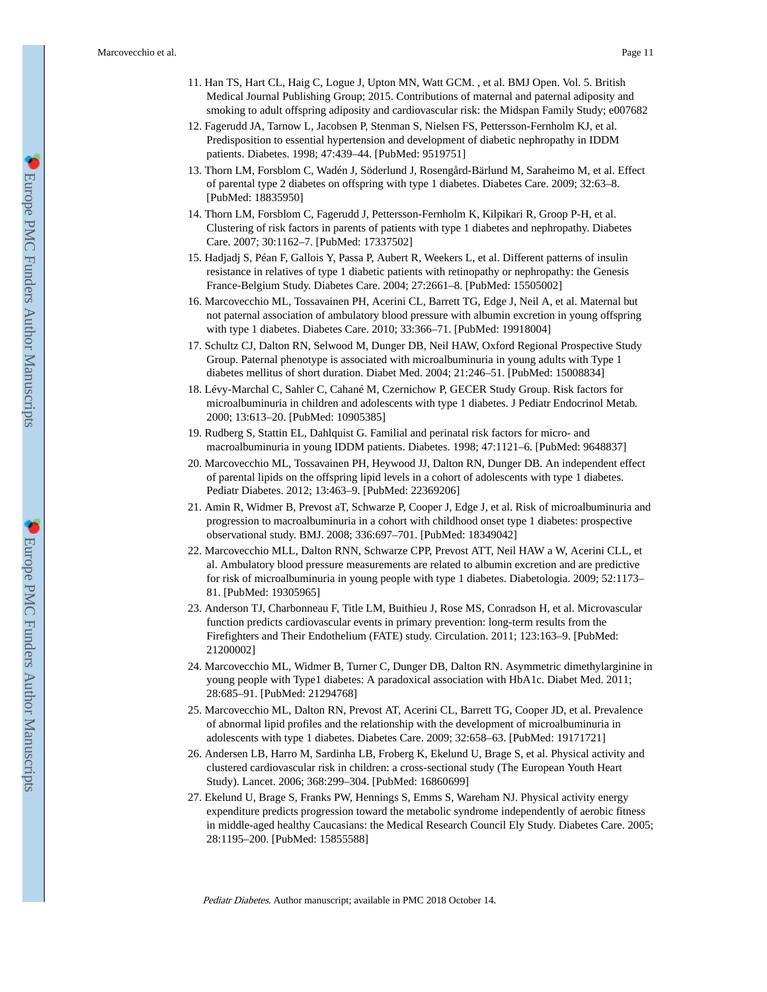- 11. Han TS, Hart CL, Haig C, Logue J, Upton MN, Watt GCM. , et al. BMJ Open. Vol. 5. British Medical Journal Publishing Group; 2015. Contributions of maternal and paternal adiposity and smoking to adult offspring adiposity and cardiovascular risk: the Midspan Family Study; e007682
- 12. Fagerudd JA, Tarnow L, Jacobsen P, Stenman S, Nielsen FS, Pettersson-Fernholm KJ, et al. Predisposition to essential hypertension and development of diabetic nephropathy in IDDM patients. Diabetes. 1998; 47:439–44. [PubMed: 9519751]
- 13. Thorn LM, Forsblom C, Wadén J, Söderlund J, Rosengård-Bärlund M, Saraheimo M, et al. Effect of parental type 2 diabetes on offspring with type 1 diabetes. Diabetes Care. 2009; 32:63–8. [PubMed: 18835950]
- 14. Thorn LM, Forsblom C, Fagerudd J, Pettersson-Fernholm K, Kilpikari R, Groop P-H, et al. Clustering of risk factors in parents of patients with type 1 diabetes and nephropathy. Diabetes Care. 2007; 30:1162–7. [PubMed: 17337502]
- 15. Hadjadj S, Péan F, Gallois Y, Passa P, Aubert R, Weekers L, et al. Different patterns of insulin resistance in relatives of type 1 diabetic patients with retinopathy or nephropathy: the Genesis France-Belgium Study. Diabetes Care. 2004; 27:2661–8. [PubMed: 15505002]
- 16. Marcovecchio ML, Tossavainen PH, Acerini CL, Barrett TG, Edge J, Neil A, et al. Maternal but not paternal association of ambulatory blood pressure with albumin excretion in young offspring with type 1 diabetes. Diabetes Care. 2010; 33:366–71. [PubMed: 19918004]
- 17. Schultz CJ, Dalton RN, Selwood M, Dunger DB, Neil HAW, Oxford Regional Prospective Study Group. Paternal phenotype is associated with microalbuminuria in young adults with Type 1 diabetes mellitus of short duration. Diabet Med. 2004; 21:246–51. [PubMed: 15008834]
- 18. Lévy-Marchal C, Sahler C, Cahané M, Czernichow P, GECER Study Group. Risk factors for microalbuminuria in children and adolescents with type 1 diabetes. J Pediatr Endocrinol Metab. 2000; 13:613–20. [PubMed: 10905385]
- 19. Rudberg S, Stattin EL, Dahlquist G. Familial and perinatal risk factors for micro- and macroalbuminuria in young IDDM patients. Diabetes. 1998; 47:1121–6. [PubMed: 9648837]
- 20. Marcovecchio ML, Tossavainen PH, Heywood JJ, Dalton RN, Dunger DB. An independent effect of parental lipids on the offspring lipid levels in a cohort of adolescents with type 1 diabetes. Pediatr Diabetes. 2012; 13:463–9. [PubMed: 22369206]
- 21. Amin R, Widmer B, Prevost aT, Schwarze P, Cooper J, Edge J, et al. Risk of microalbuminuria and progression to macroalbuminuria in a cohort with childhood onset type 1 diabetes: prospective observational study. BMJ. 2008; 336:697–701. [PubMed: 18349042]
- 22. Marcovecchio MLL, Dalton RNN, Schwarze CPP, Prevost ATT, Neil HAW a W, Acerini CLL, et al. Ambulatory blood pressure measurements are related to albumin excretion and are predictive for risk of microalbuminuria in young people with type 1 diabetes. Diabetologia. 2009; 52:1173– 81. [PubMed: 19305965]
- 23. Anderson TJ, Charbonneau F, Title LM, Buithieu J, Rose MS, Conradson H, et al. Microvascular function predicts cardiovascular events in primary prevention: long-term results from the Firefighters and Their Endothelium (FATE) study. Circulation. 2011; 123:163–9. [PubMed: 21200002]
- 24. Marcovecchio ML, Widmer B, Turner C, Dunger DB, Dalton RN. Asymmetric dimethylarginine in young people with Type1 diabetes: A paradoxical association with HbA1c. Diabet Med. 2011; 28:685–91. [PubMed: 21294768]
- 25. Marcovecchio ML, Dalton RN, Prevost AT, Acerini CL, Barrett TG, Cooper JD, et al. Prevalence of abnormal lipid profiles and the relationship with the development of microalbuminuria in adolescents with type 1 diabetes. Diabetes Care. 2009; 32:658–63. [PubMed: 19171721]
- 26. Andersen LB, Harro M, Sardinha LB, Froberg K, Ekelund U, Brage S, et al. Physical activity and clustered cardiovascular risk in children: a cross-sectional study (The European Youth Heart Study). Lancet. 2006; 368:299–304. [PubMed: 16860699]
- 27. Ekelund U, Brage S, Franks PW, Hennings S, Emms S, Wareham NJ. Physical activity energy expenditure predicts progression toward the metabolic syndrome independently of aerobic fitness in middle-aged healthy Caucasians: the Medical Research Council Ely Study. Diabetes Care. 2005; 28:1195–200. [PubMed: 15855588]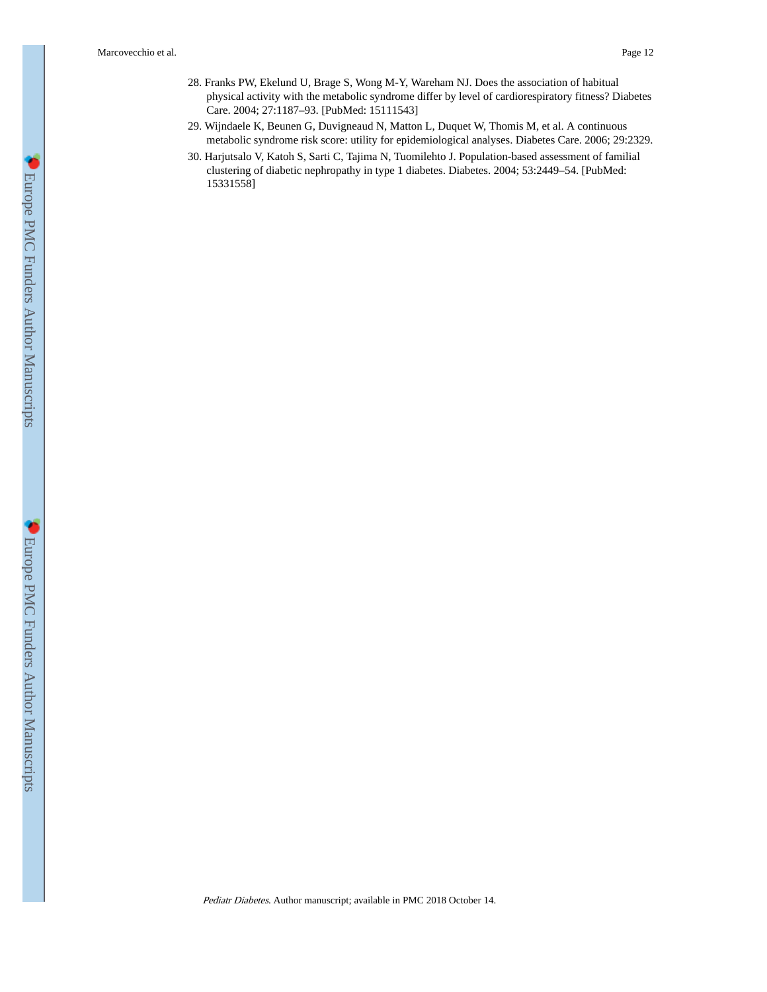- 28. Franks PW, Ekelund U, Brage S, Wong M-Y, Wareham NJ. Does the association of habitual physical activity with the metabolic syndrome differ by level of cardiorespiratory fitness? Diabetes Care. 2004; 27:1187–93. [PubMed: 15111543]
- 29. Wijndaele K, Beunen G, Duvigneaud N, Matton L, Duquet W, Thomis M, et al. A continuous metabolic syndrome risk score: utility for epidemiological analyses. Diabetes Care. 2006; 29:2329.
- 30. Harjutsalo V, Katoh S, Sarti C, Tajima N, Tuomilehto J. Population-based assessment of familial clustering of diabetic nephropathy in type 1 diabetes. Diabetes. 2004; 53:2449–54. [PubMed: 15331558]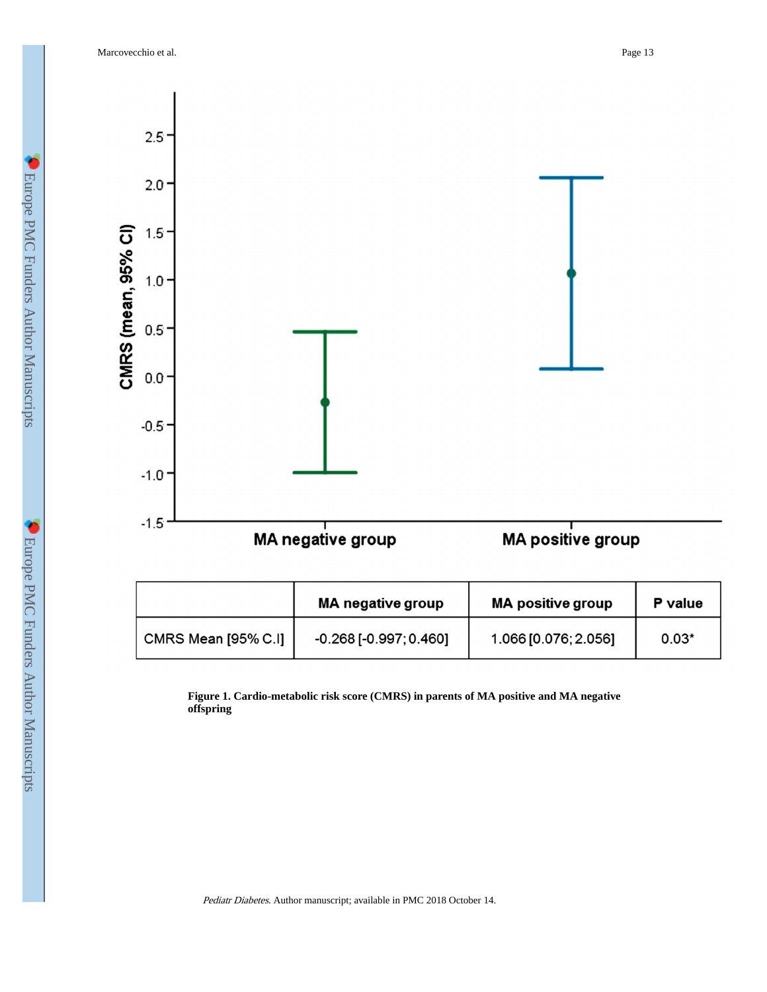Marcovecchio et al. Page 13



|                     | <b>MA negative group</b>     | <b>MA positive group</b> | P value |
|---------------------|------------------------------|--------------------------|---------|
| CMRS Mean [95% C.I] | $-0.268$ [ $-0.997; 0.460$ ] | 1.066 [0.076; 2.056]     | $0.03*$ |

**Figure 1. Cardio-metabolic risk score (CMRS) in parents of MA positive and MA negative offspring**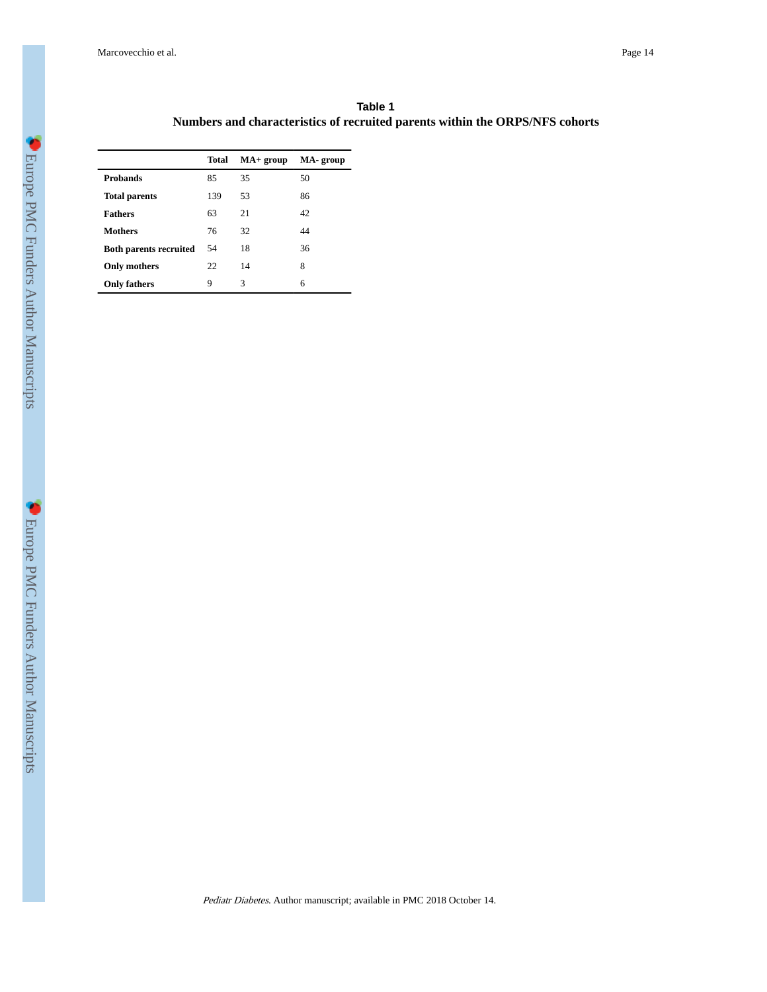Marcovecchio et al. Page 14

| Table 1                                                                      |  |
|------------------------------------------------------------------------------|--|
| Numbers and characteristics of recruited parents within the ORPS/NFS cohorts |  |

|                               | Total | $MA+$ group | MA-group |
|-------------------------------|-------|-------------|----------|
| <b>Probands</b>               | 85    | 35          | 50       |
| <b>Total parents</b>          | 139   | 53          | 86       |
| <b>Fathers</b>                | 63    | 21          | 42       |
| Mothers                       | 76    | 32          | 44       |
| <b>Both parents recruited</b> | 54    | 18          | 36       |
| Only mothers                  | 22    | 14          | 8        |
| <b>Only fathers</b>           | 9     | 3           | 6        |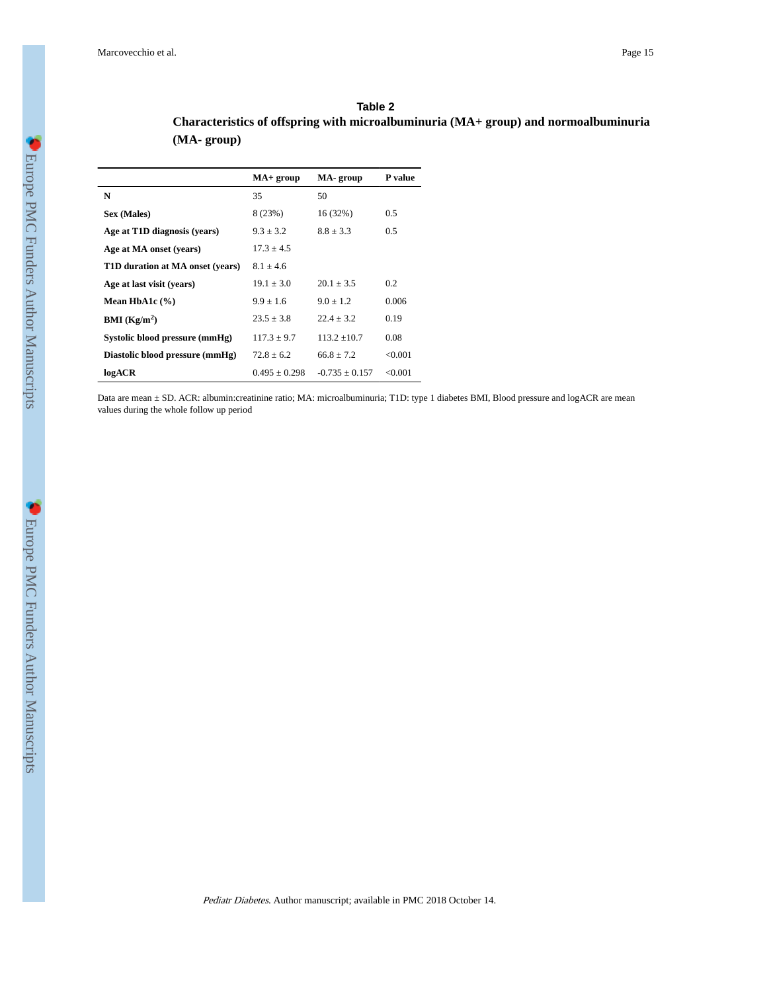| Table 2                                                                             |
|-------------------------------------------------------------------------------------|
| Characteristics of offspring with microalbuminuria (MA+ group) and normoalbuminuria |
| $(MA - group)$                                                                      |

|                                  | $MA+$ group     | MA-group         | P value |
|----------------------------------|-----------------|------------------|---------|
| N                                | 35              | 50               |         |
| Sex (Males)                      | 8(23%)          | 16 (32%)         | 0.5     |
| Age at T1D diagnosis (years)     | $9.3 \pm 3.2$   | $8.8 \pm 3.3$    | 0.5     |
| Age at MA onset (years)          | $17.3 + 4.5$    |                  |         |
| T1D duration at MA onset (years) | $8.1 \pm 4.6$   |                  |         |
| Age at last visit (years)        | $19.1 + 3.0$    | $20.1 + 3.5$     | 0.2     |
| Mean HbA1c $(\% )$               | $9.9 + 1.6$     | $9.0 + 1.2$      | 0.006   |
| <b>BMI</b> ( $\text{Kg/m}^2$ )   | $23.5 \pm 3.8$  | $22.4 + 3.2$     | 0.19    |
| Systolic blood pressure (mmHg)   | $117.3 + 9.7$   | $113.2 + 10.7$   | 0.08    |
| Diastolic blood pressure (mmHg)  | $72.8 + 6.2$    | $66.8 + 7.2$     | < 0.001 |
| logACR                           | $0.495 + 0.298$ | $-0.735 + 0.157$ | <0.001  |

Data are mean ± SD. ACR: albumin:creatinine ratio; MA: microalbuminuria; T1D: type 1 diabetes BMI, Blood pressure and logACR are mean values during the whole follow up period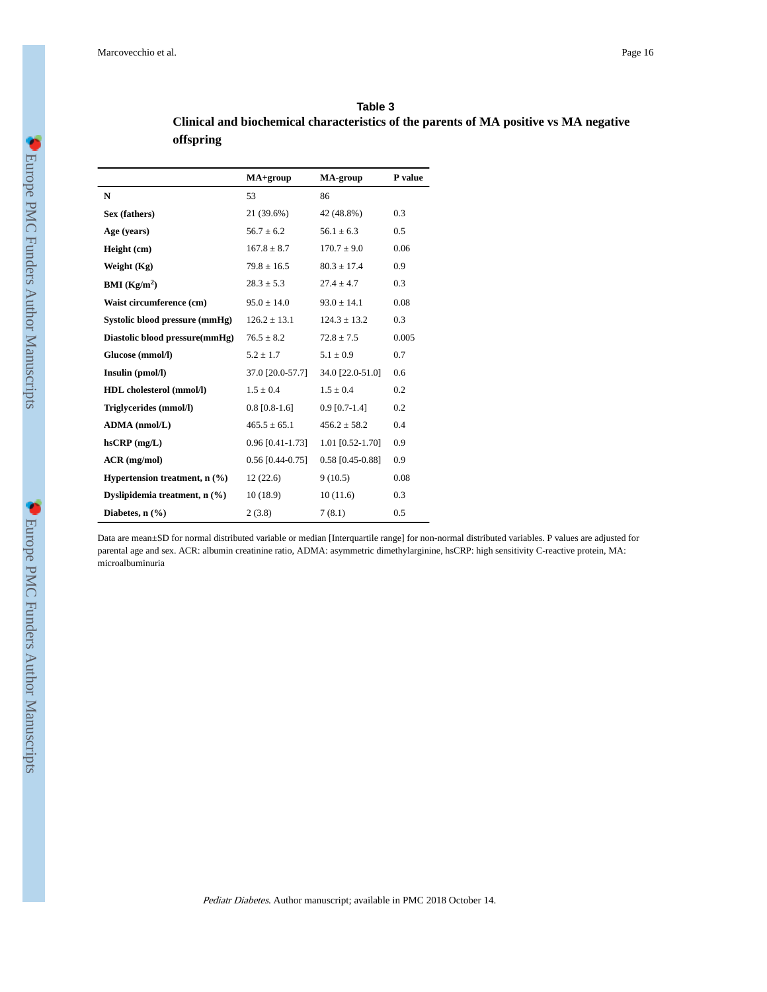| Table 3                                                                               |
|---------------------------------------------------------------------------------------|
| Clinical and biochemical characteristics of the parents of MA positive vs MA negative |
| offspring                                                                             |

|                                     | $MA+group$         | MA-group           | P value |
|-------------------------------------|--------------------|--------------------|---------|
| N                                   | 53                 | 86                 |         |
| Sex (fathers)                       | 21 (39.6%)         | 42 (48.8%)         | 0.3     |
| Age (years)                         | $56.7 \pm 6.2$     | $56.1 \pm 6.3$     | 0.5     |
| Height (cm)                         | $167.8 \pm 8.7$    | $170.7 \pm 9.0$    | 0.06    |
| Weight (Kg)                         | $79.8 \pm 16.5$    | $80.3 \pm 17.4$    | 0.9     |
| BMI (Kg/m <sup>2</sup> )            | $28.3 \pm 5.3$     | $27.4 \pm 4.7$     | 0.3     |
| Waist circumference (cm)            | $95.0 \pm 14.0$    | $93.0 \pm 14.1$    | 0.08    |
| Systolic blood pressure (mmHg)      | $126.2 \pm 13.1$   | $124.3 \pm 13.2$   | 0.3     |
| Diastolic blood pressure(mmHg)      | $76.5 \pm 8.2$     | $72.8 \pm 7.5$     | 0.005   |
| Glucose (mmol/l)                    | $5.2 \pm 1.7$      | $5.1 \pm 0.9$      | 0.7     |
| Insulin (pmol/l)                    | 37.0 [20.0-57.7]   | 34.0 [22.0-51.0]   | 0.6     |
| HDL cholesterol (mmol/l)            | $1.5 \pm 0.4$      | $1.5 \pm 0.4$      | 0.2     |
| Triglycerides (mmol/l)              | $0.8$ [0.8-1.6]    | $0.9$ [0.7-1.4]    | 0.2     |
| ADMA (nmol/L)                       | $465.5 \pm 65.1$   | $456.2 \pm 58.2$   | 0.4     |
| $h$ s $CRP$ (mg/L)                  | $0.96$ [0.41-1.73] | 1.01 [0.52-1.70]   | 0.9     |
| $ACR$ (mg/mol)                      | $0.56$ [0.44-0.75] | $0.58$ [0.45-0.88] | 0.9     |
| Hypertension treatment, $n$ $(\% )$ | 12(22.6)           | 9(10.5)            | 0.08    |
| Dyslipidemia treatment, n (%)       | 10(18.9)           | 10(11.6)           | 0.3     |
| Diabetes, $n$ $(\frac{6}{6})$       | 2(3.8)             | 7(8.1)             | 0.5     |

Data are mean±SD for normal distributed variable or median [Interquartile range] for non-normal distributed variables. P values are adjusted for parental age and sex. ACR: albumin creatinine ratio, ADMA: asymmetric dimethylarginine, hsCRP: high sensitivity C-reactive protein, MA: microalbuminuria